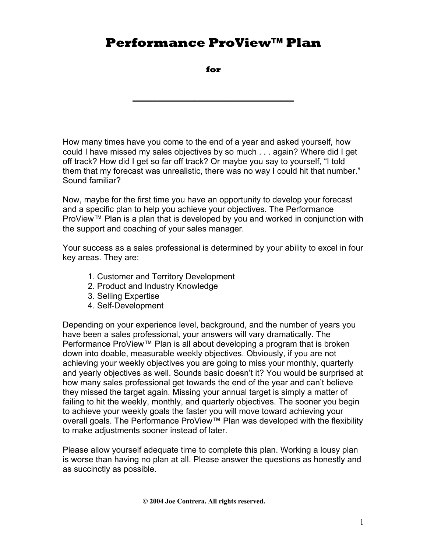**for** 

**\_\_\_\_\_\_\_\_\_\_\_\_\_\_\_\_\_\_\_\_\_\_\_\_\_\_** 

How many times have you come to the end of a year and asked yourself, how could I have missed my sales objectives by so much . . . again? Where did I get off track? How did I get so far off track? Or maybe you say to yourself, "I told them that my forecast was unrealistic, there was no way I could hit that number." Sound familiar?

Now, maybe for the first time you have an opportunity to develop your forecast and a specific plan to help you achieve your objectives. The Performance ProView™ Plan is a plan that is developed by you and worked in conjunction with the support and coaching of your sales manager.

Your success as a sales professional is determined by your ability to excel in four key areas. They are:

- 1. Customer and Territory Development
- 2. Product and Industry Knowledge
- 3. Selling Expertise
- 4. Self-Development

Depending on your experience level, background, and the number of years you have been a sales professional, your answers will vary dramatically. The Performance ProView™ Plan is all about developing a program that is broken down into doable, measurable weekly objectives. Obviously, if you are not achieving your weekly objectives you are going to miss your monthly, quarterly and yearly objectives as well. Sounds basic doesn't it? You would be surprised at how many sales professional get towards the end of the year and can't believe they missed the target again. Missing your annual target is simply a matter of failing to hit the weekly, monthly, and quarterly objectives. The sooner you begin to achieve your weekly goals the faster you will move toward achieving your overall goals. The Performance ProView™ Plan was developed with the flexibility to make adjustments sooner instead of later.

Please allow yourself adequate time to complete this plan. Working a lousy plan is worse than having no plan at all. Please answer the questions as honestly and as succinctly as possible.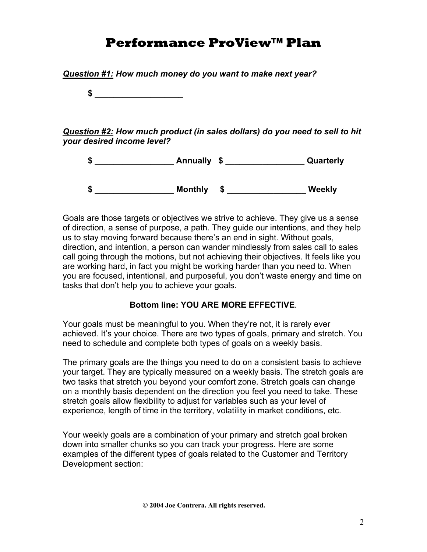

*Question #1: How much money do you want to make next year?* 

Goals are those targets or objectives we strive to achieve. They give us a sense of direction, a sense of purpose, a path. They guide our intentions, and they help us to stay moving forward because there's an end in sight. Without goals, direction, and intention, a person can wander mindlessly from sales call to sales call going through the motions, but not achieving their objectives. It feels like you are working hard, in fact you might be working harder than you need to. When you are focused, intentional, and purposeful, you don't waste energy and time on tasks that don't help you to achieve your goals.

### **Bottom line: YOU ARE MORE EFFECTIVE**.

Your goals must be meaningful to you. When they're not, it is rarely ever achieved. It's your choice. There are two types of goals, primary and stretch. You need to schedule and complete both types of goals on a weekly basis.

The primary goals are the things you need to do on a consistent basis to achieve your target. They are typically measured on a weekly basis. The stretch goals are two tasks that stretch you beyond your comfort zone. Stretch goals can change on a monthly basis dependent on the direction you feel you need to take. These stretch goals allow flexibility to adjust for variables such as your level of experience, length of time in the territory, volatility in market conditions, etc.

Your weekly goals are a combination of your primary and stretch goal broken down into smaller chunks so you can track your progress. Here are some examples of the different types of goals related to the Customer and Territory Development section: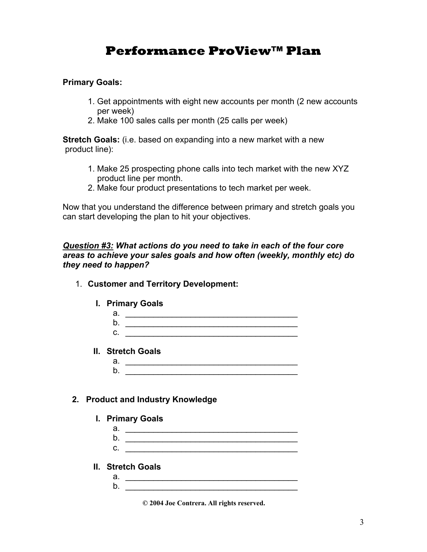#### **Primary Goals:**

- 1. Get appointments with eight new accounts per month (2 new accounts per week)
- 2. Make 100 sales calls per month (25 calls per week)

**Stretch Goals:** (i.e. based on expanding into a new market with a new product line):

- 1. Make 25 prospecting phone calls into tech market with the new XYZ product line per month.
- 2. Make four product presentations to tech market per week.

Now that you understand the difference between primary and stretch goals you can start developing the plan to hit your objectives.

#### *Question #3: What actions do you need to take in each of the four core areas to achieve your sales goals and how often (weekly, monthly etc) do they need to happen?*

- 1. **Customer and Territory Development:**
	- **I. Primary Goals**

| ີ<br>а |  |
|--------|--|
| b      |  |
| C.     |  |
|        |  |

- **II. Stretch Goals** 
	- a. \_\_\_\_\_\_\_\_\_\_\_\_\_\_\_\_\_\_\_\_\_\_\_\_\_\_\_\_\_\_\_\_\_\_\_\_\_  $b.$

#### **2. Product and Industry Knowledge**

- **I. Primary Goals** 
	- a. \_\_\_\_\_\_\_\_\_\_\_\_\_\_\_\_\_\_\_\_\_\_\_\_\_\_\_\_\_\_\_\_\_\_\_\_\_  $b.$  $c.$
- **II. Stretch Goals** 
	- a. \_\_\_\_\_\_\_\_\_\_\_\_\_\_\_\_\_\_\_\_\_\_\_\_\_\_\_\_\_\_\_\_\_\_\_\_\_ b. \_\_\_\_\_\_\_\_\_\_\_\_\_\_\_\_\_\_\_\_\_\_\_\_\_\_\_\_\_\_\_\_\_\_\_\_\_

**© 2004 Joe Contrera. All rights reserved.**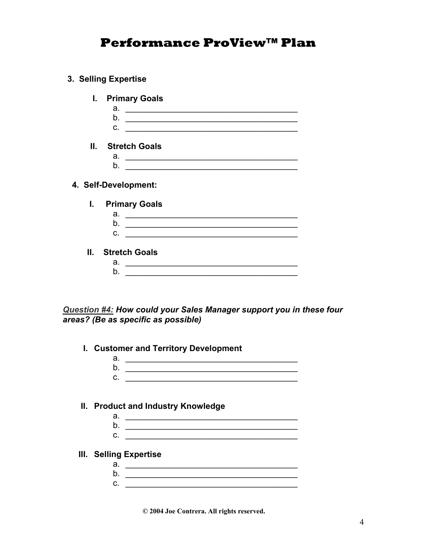- **3. Selling Expertise** 
	- **I. Primary Goals** 
		- $a.$  $b.$  $c.$   $\qquad \qquad \qquad$
	- **II. Stretch Goals** 
		- a. \_\_\_\_\_\_\_\_\_\_\_\_\_\_\_\_\_\_\_\_\_\_\_\_\_\_\_\_\_\_\_\_\_\_\_\_\_ b. \_\_\_\_\_\_\_\_\_\_\_\_\_\_\_\_\_\_\_\_\_\_\_\_\_\_\_\_\_\_\_\_\_\_\_\_\_

#### **4. Self-Development:**

- **I. Primary Goals** 
	- a. \_\_\_\_\_\_\_\_\_\_\_\_\_\_\_\_\_\_\_\_\_\_\_\_\_\_\_\_\_\_\_\_\_\_\_\_\_
	- b. \_\_\_\_\_\_\_\_\_\_\_\_\_\_\_\_\_\_\_\_\_\_\_\_\_\_\_\_\_\_\_\_\_\_\_\_\_  $c.$   $\qquad \qquad \qquad$
- **II. Stretch Goals** 
	- a. \_\_\_\_\_\_\_\_\_\_\_\_\_\_\_\_\_\_\_\_\_\_\_\_\_\_\_\_\_\_\_\_\_\_\_\_\_ b.

*Question #4: How could your Sales Manager support you in these four areas? (Be as specific as possible)* 

- **I. Customer and Territory Development** 
	- a.  $\frac{1}{2}$  =  $\frac{1}{2}$  =  $\frac{1}{2}$  =  $\frac{1}{2}$  =  $\frac{1}{2}$  =  $\frac{1}{2}$  =  $\frac{1}{2}$  =  $\frac{1}{2}$  =  $\frac{1}{2}$  =  $\frac{1}{2}$  =  $\frac{1}{2}$  =  $\frac{1}{2}$  =  $\frac{1}{2}$  =  $\frac{1}{2}$  =  $\frac{1}{2}$  =  $\frac{1}{2}$  =  $\frac{1}{2}$  =  $\frac{1}{2}$  =  $\$ b. \_\_\_\_\_\_\_\_\_\_\_\_\_\_\_\_\_\_\_\_\_\_\_\_\_\_\_\_\_\_\_\_\_\_\_\_\_ c. \_\_\_\_\_\_\_\_\_\_\_\_\_\_\_\_\_\_\_\_\_\_\_\_\_\_\_\_\_\_\_\_\_\_\_\_\_
- **II. Product and Industry Knowledge** 
	- a. \_\_\_\_\_\_\_\_\_\_\_\_\_\_\_\_\_\_\_\_\_\_\_\_\_\_\_\_\_\_\_\_\_\_\_\_\_ b. \_\_\_\_\_\_\_\_\_\_\_\_\_\_\_\_\_\_\_\_\_\_\_\_\_\_\_\_\_\_\_\_\_\_\_\_\_  $c.$   $\qquad \qquad$
- **III. Selling Expertise** 
	- a. \_\_\_\_\_\_\_\_\_\_\_\_\_\_\_\_\_\_\_\_\_\_\_\_\_\_\_\_\_\_\_\_\_\_\_\_\_ b. \_\_\_\_\_\_\_\_\_\_\_\_\_\_\_\_\_\_\_\_\_\_\_\_\_\_\_\_\_\_\_\_\_\_\_\_\_ c. \_\_\_\_\_\_\_\_\_\_\_\_\_\_\_\_\_\_\_\_\_\_\_\_\_\_\_\_\_\_\_\_\_\_\_\_\_

**© 2004 Joe Contrera. All rights reserved.**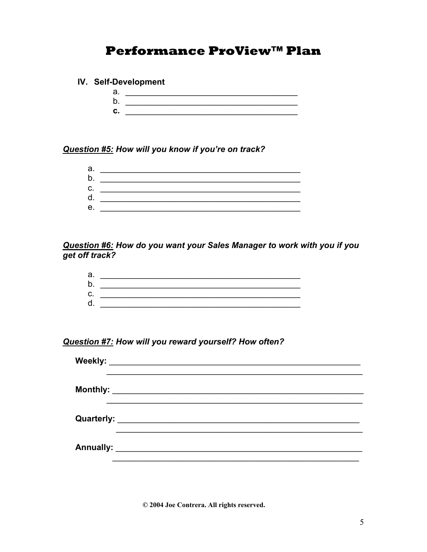#### IV. Self-Development

 $b.$   $\qquad \qquad$  $c.$   $\qquad \qquad$ 

#### Question #5: How will you know if you're on track?

| а. |  |
|----|--|
| b. |  |
| C. |  |
| d. |  |
| е. |  |
|    |  |

# Question #6: How do you want your Sales Manager to work with you if you<br>get off track?

| a. |  |
|----|--|
| D. |  |
| C. |  |
|    |  |

#### Question #7: How will you reward yourself? How often?

| Weekly: |  |  |  |
|---------|--|--|--|
|         |  |  |  |
|         |  |  |  |
|         |  |  |  |